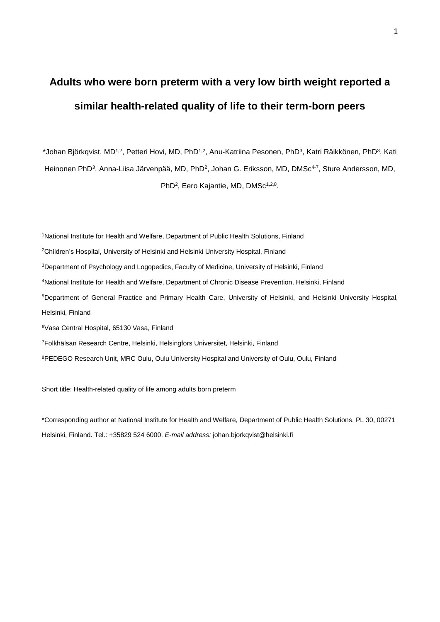# **Adults who were born preterm with a very low birth weight reported a similar health-related quality of life to their term-born peers**

\*Johan Björkqvist, MD<sup>1,2</sup>, Petteri Hovi, MD, PhD<sup>1,2</sup>, Anu-Katriina Pesonen, PhD<sup>3</sup>, Katri Räikkönen, PhD<sup>3</sup>, Kati Heinonen PhD<sup>3</sup>, Anna-Liisa Järvenpää, MD, PhD<sup>2</sup>, Johan G. Eriksson, MD, DMSc<sup>4-7</sup>, Sture Andersson, MD, PhD<sup>2</sup>, Eero Kajantie, MD, DMSc<sup>1,2,8</sup>.

<sup>1</sup>National Institute for Health and Welfare, Department of Public Health Solutions, Finland

<sup>2</sup>Children's Hospital, University of Helsinki and Helsinki University Hospital, Finland

<sup>3</sup>Department of Psychology and Logopedics, Faculty of Medicine, University of Helsinki, Finland

<sup>4</sup>National Institute for Health and Welfare, Department of Chronic Disease Prevention, Helsinki, Finland

<sup>5</sup>Department of General Practice and Primary Health Care, University of Helsinki, and Helsinki University Hospital,

Helsinki, Finland

<sup>6</sup>Vasa Central Hospital, 65130 Vasa, Finland

<sup>7</sup>Folkhälsan Research Centre, Helsinki, Helsingfors Universitet, Helsinki, Finland

8PEDEGO Research Unit, MRC Oulu, Oulu University Hospital and University of Oulu, Oulu, Finland

Short title: Health-related quality of life among adults born preterm

\*Corresponding author at National Institute for Health and Welfare, Department of Public Health Solutions, PL 30, 00271 Helsinki, Finland. Tel.: +35829 524 6000. *E-mail address:* johan.bjorkqvist@helsinki.fi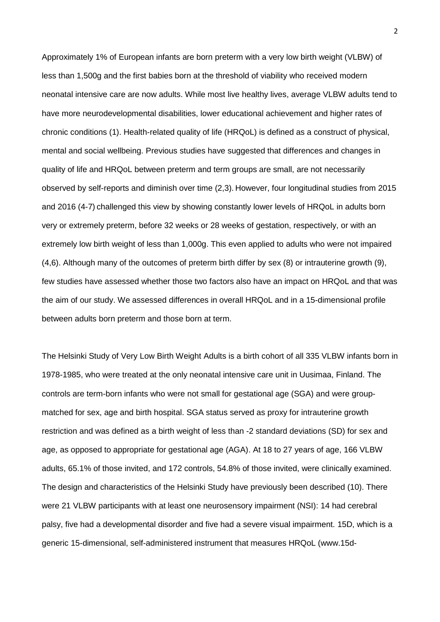Approximately 1% of European infants are born preterm with a very low birth weight (VLBW) of less than 1,500g and the first babies born at the threshold of viability who received modern neonatal intensive care are now adults. While most live healthy lives, average VLBW adults tend to have more neurodevelopmental disabilities, lower educational achievement and higher rates of chronic conditions (1). Health-related quality of life (HRQoL) is defined as a construct of physical, mental and social wellbeing. Previous studies have suggested that differences and changes in quality of life and HRQoL between preterm and term groups are small, are not necessarily observed by self-reports and diminish over time (2,3). However, four longitudinal studies from 2015 and 2016 (4-7) challenged this view by showing constantly lower levels of HRQoL in adults born very or extremely preterm, before 32 weeks or 28 weeks of gestation, respectively, or with an extremely low birth weight of less than 1,000g. This even applied to adults who were not impaired (4,6). Although many of the outcomes of preterm birth differ by sex (8) or intrauterine growth (9), few studies have assessed whether those two factors also have an impact on HRQoL and that was the aim of our study. We assessed differences in overall HRQoL and in a 15-dimensional profile between adults born preterm and those born at term.

The Helsinki Study of Very Low Birth Weight Adults is a birth cohort of all 335 VLBW infants born in 1978-1985, who were treated at the only neonatal intensive care unit in Uusimaa, Finland. The controls are term-born infants who were not small for gestational age (SGA) and were groupmatched for sex, age and birth hospital. SGA status served as proxy for intrauterine growth restriction and was defined as a birth weight of less than -2 standard deviations (SD) for sex and age, as opposed to appropriate for gestational age (AGA). At 18 to 27 years of age, 166 VLBW adults, 65.1% of those invited, and 172 controls, 54.8% of those invited, were clinically examined. The design and characteristics of the Helsinki Study have previously been described (10). There were 21 VLBW participants with at least one neurosensory impairment (NSI): 14 had cerebral palsy, five had a developmental disorder and five had a severe visual impairment. 15D, which is a generic 15-dimensional, self-administered instrument that measures HRQoL (www.15d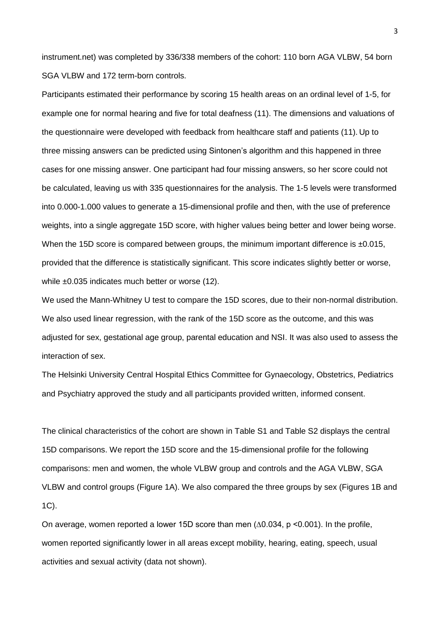instrument.net) was completed by 336/338 members of the cohort: 110 born AGA VLBW, 54 born SGA VLBW and 172 term-born controls.

Participants estimated their performance by scoring 15 health areas on an ordinal level of 1-5, for example one for normal hearing and five for total deafness (11). The dimensions and valuations of the questionnaire were developed with feedback from healthcare staff and patients (11). Up to three missing answers can be predicted using Sintonen's algorithm and this happened in three cases for one missing answer. One participant had four missing answers, so her score could not be calculated, leaving us with 335 questionnaires for the analysis. The 1-5 levels were transformed into 0.000-1.000 values to generate a 15-dimensional profile and then, with the use of preference weights, into a single aggregate 15D score, with higher values being better and lower being worse. When the 15D score is compared between groups, the minimum important difference is  $\pm 0.015$ . provided that the difference is statistically significant. This score indicates slightly better or worse, while ±0.035 indicates much better or worse (12).

We used the Mann-Whitney U test to compare the 15D scores, due to their non-normal distribution. We also used linear regression, with the rank of the 15D score as the outcome, and this was adjusted for sex, gestational age group, parental education and NSI. It was also used to assess the interaction of sex.

The Helsinki University Central Hospital Ethics Committee for Gynaecology, Obstetrics, Pediatrics and Psychiatry approved the study and all participants provided written, informed consent.

The clinical characteristics of the cohort are shown in Table S1 and Table S2 displays the central 15D comparisons. We report the 15D score and the 15-dimensional profile for the following comparisons: men and women, the whole VLBW group and controls and the AGA VLBW, SGA VLBW and control groups (Figure 1A). We also compared the three groups by sex (Figures 1B and 1C).

On average, women reported a lower 15D score than men  $(\Delta 0.034, p \le 0.001)$ . In the profile, women reported significantly lower in all areas except mobility, hearing, eating, speech, usual activities and sexual activity (data not shown).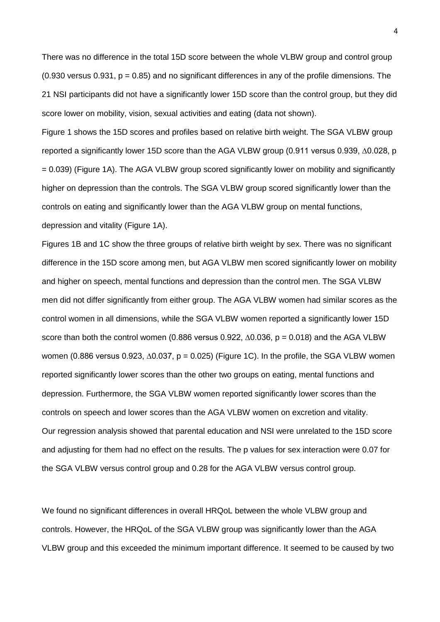There was no difference in the total 15D score between the whole VLBW group and control group  $(0.930$  versus  $0.931$ ,  $p = 0.85$ ) and no significant differences in any of the profile dimensions. The 21 NSI participants did not have a significantly lower 15D score than the control group, but they did score lower on mobility, vision, sexual activities and eating (data not shown).

Figure 1 shows the 15D scores and profiles based on relative birth weight. The SGA VLBW group reported a significantly lower 15D score than the AGA VLBW group (0.911 versus 0.939, ∆0.028, p = 0.039) (Figure 1A). The AGA VLBW group scored significantly lower on mobility and significantly higher on depression than the controls. The SGA VLBW group scored significantly lower than the controls on eating and significantly lower than the AGA VLBW group on mental functions, depression and vitality (Figure 1A).

Figures 1B and 1C show the three groups of relative birth weight by sex. There was no significant difference in the 15D score among men, but AGA VLBW men scored significantly lower on mobility and higher on speech, mental functions and depression than the control men. The SGA VLBW men did not differ significantly from either group. The AGA VLBW women had similar scores as the control women in all dimensions, while the SGA VLBW women reported a significantly lower 15D score than both the control women (0.886 versus 0.922,  $\Delta$ 0.036, p = 0.018) and the AGA VLBW women (0.886 versus 0.923, ∆0.037, p = 0.025) (Figure 1C). In the profile, the SGA VLBW women reported significantly lower scores than the other two groups on eating, mental functions and depression. Furthermore, the SGA VLBW women reported significantly lower scores than the controls on speech and lower scores than the AGA VLBW women on excretion and vitality. Our regression analysis showed that parental education and NSI were unrelated to the 15D score and adjusting for them had no effect on the results. The p values for sex interaction were 0.07 for the SGA VLBW versus control group and 0.28 for the AGA VLBW versus control group.

We found no significant differences in overall HRQoL between the whole VLBW group and controls. However, the HRQoL of the SGA VLBW group was significantly lower than the AGA VLBW group and this exceeded the minimum important difference. It seemed to be caused by two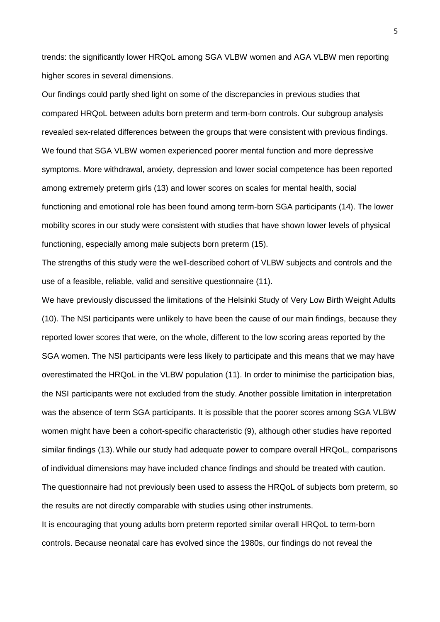trends: the significantly lower HRQoL among SGA VLBW women and AGA VLBW men reporting higher scores in several dimensions.

Our findings could partly shed light on some of the discrepancies in previous studies that compared HRQoL between adults born preterm and term-born controls. Our subgroup analysis revealed sex-related differences between the groups that were consistent with previous findings. We found that SGA VLBW women experienced poorer mental function and more depressive symptoms. More withdrawal, anxiety, depression and lower social competence has been reported among extremely preterm girls (13) and lower scores on scales for mental health, social functioning and emotional role has been found among term-born SGA participants (14). The lower mobility scores in our study were consistent with studies that have shown lower levels of physical functioning, especially among male subjects born preterm (15).

The strengths of this study were the well-described cohort of VLBW subjects and controls and the use of a feasible, reliable, valid and sensitive questionnaire (11).

We have previously discussed the limitations of the Helsinki Study of Very Low Birth Weight Adults (10). The NSI participants were unlikely to have been the cause of our main findings, because they reported lower scores that were, on the whole, different to the low scoring areas reported by the SGA women. The NSI participants were less likely to participate and this means that we may have overestimated the HRQoL in the VLBW population (11). In order to minimise the participation bias, the NSI participants were not excluded from the study. Another possible limitation in interpretation was the absence of term SGA participants. It is possible that the poorer scores among SGA VLBW women might have been a cohort-specific characteristic (9), although other studies have reported similar findings (13).While our study had adequate power to compare overall HRQoL, comparisons of individual dimensions may have included chance findings and should be treated with caution. The questionnaire had not previously been used to assess the HRQoL of subjects born preterm, so the results are not directly comparable with studies using other instruments.

It is encouraging that young adults born preterm reported similar overall HRQoL to term-born controls. Because neonatal care has evolved since the 1980s, our findings do not reveal the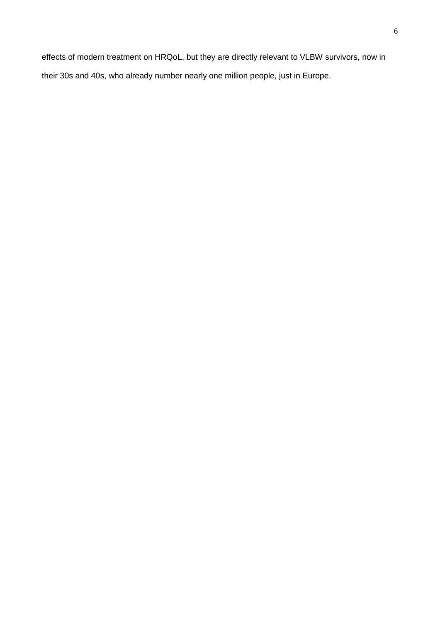effects of modern treatment on HRQoL, but they are directly relevant to VLBW survivors, now in their 30s and 40s, who already number nearly one million people, just in Europe.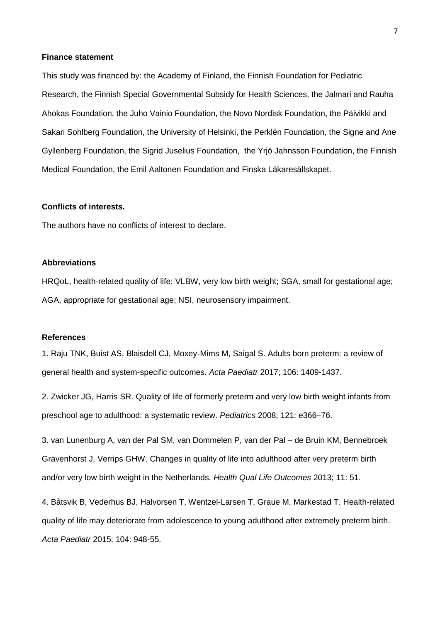#### **Finance statement**

This study was financed by: the Academy of Finland, the Finnish Foundation for Pediatric Research, the Finnish Special Governmental Subsidy for Health Sciences, the Jalmari and Rauha Ahokas Foundation, the Juho Vainio Foundation, the Novo Nordisk Foundation, the Päivikki and Sakari Sohlberg Foundation, the University of Helsinki, the Perklén Foundation, the Signe and Ane Gyllenberg Foundation, the Sigrid Juselius Foundation, the Yrjö Jahnsson Foundation, the Finnish Medical Foundation, the Emil Aaltonen Foundation and Finska Läkaresällskapet.

## **Conflicts of interests.**

The authors have no conflicts of interest to declare.

#### **Abbreviations**

HRQoL, health-related quality of life; VLBW, very low birth weight; SGA, small for gestational age; AGA, appropriate for gestational age; NSI, neurosensory impairment.

### **References**

1. Raju TNK, Buist AS, Blaisdell CJ, Moxey-Mims M, Saigal S. Adults born preterm: a review of general health and system-specific outcomes. *Acta Paediatr* 2017; 106: 1409-1437.

2. Zwicker JG, Harris SR. Quality of life of formerly preterm and very low birth weight infants from preschool age to adulthood: a systematic review. *Pediatrics* 2008; 121: e366–76.

3. van Lunenburg A, van der Pal SM, van Dommelen P, van der Pal – de Bruin KM, Bennebroek Gravenhorst J, Verrips GHW. Changes in quality of life into adulthood after very preterm birth and/or very low birth weight in the Netherlands. *Health Qual Life Outcomes* 2013; 11: 51.

4. Båtsvik B, Vederhus BJ, Halvorsen T, Wentzel-Larsen T, Graue M, Markestad T. Health-related quality of life may deteriorate from adolescence to young adulthood after extremely preterm birth. *Acta Paediatr* 2015; 104: 948-55.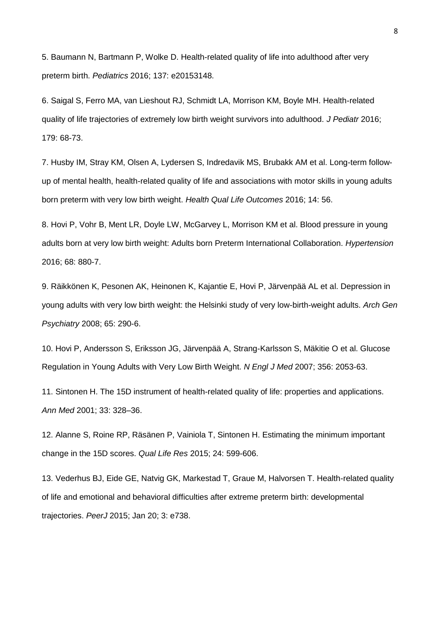5. Baumann N, Bartmann P, Wolke D. Health-related quality of life into adulthood after very preterm birth. *Pediatrics* 2016; 137: e20153148.

6. Saigal S, Ferro MA, van Lieshout RJ, Schmidt LA, Morrison KM, Boyle MH. Health-related quality of life trajectories of extremely low birth weight survivors into adulthood. *J Pediatr* 2016; 179: 68-73.

7. Husby IM, Stray KM, Olsen A, Lydersen S, Indredavik MS, Brubakk AM et al. Long-term followup of mental health, health-related quality of life and associations with motor skills in young adults born preterm with very low birth weight. *Health Qual Life Outcomes* 2016; 14: 56.

8. Hovi P, Vohr B, Ment LR, Doyle LW, McGarvey L, Morrison KM et al. Blood pressure in young adults born at very low birth weight: Adults born Preterm International Collaboration. *Hypertension* 2016; 68: 880-7.

9. Räikkönen K, Pesonen AK, Heinonen K, Kajantie E, Hovi P, Järvenpää AL et al. Depression in young adults with very low birth weight: the Helsinki study of very low-birth-weight adults. *Arch Gen Psychiatry* 2008; 65: 290-6.

10. Hovi P, Andersson S, Eriksson JG, Järvenpää A, Strang-Karlsson S, Mäkitie O et al. Glucose Regulation in Young Adults with Very Low Birth Weight. *N Engl J Med* 2007; 356: 2053-63.

11. Sintonen H. The 15D instrument of health-related quality of life: properties and applications. *Ann Med* 2001; 33: 328–36.

12. Alanne S, Roine RP, Räsänen P, Vainiola T, Sintonen H. Estimating the minimum important change in the 15D scores. *Qual Life Res* 2015; 24: 599-606.

13. Vederhus BJ, Eide GE, Natvig GK, Markestad T, Graue M, Halvorsen T. Health-related quality of life and emotional and behavioral difficulties after extreme preterm birth: developmental trajectories. *PeerJ* 2015; Jan 20; 3: e738.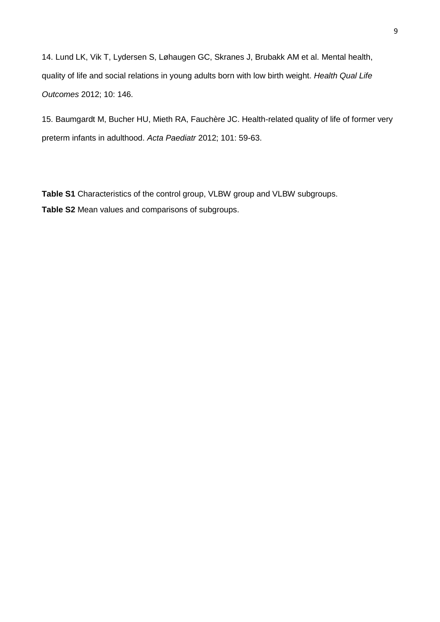14. Lund LK, Vik T, Lydersen S, Løhaugen GC, Skranes J, Brubakk AM et al. Mental health, quality of life and social relations in young adults born with low birth weight. *Health Qual Life Outcomes* 2012; 10: 146.

15. Baumgardt M, Bucher HU, Mieth RA, Fauchère JC. Health-related quality of life of former very preterm infants in adulthood. *Acta Paediatr* 2012; 101: 59-63.

**Table S1** Characteristics of the control group, VLBW group and VLBW subgroups. **Table S2** Mean values and comparisons of subgroups.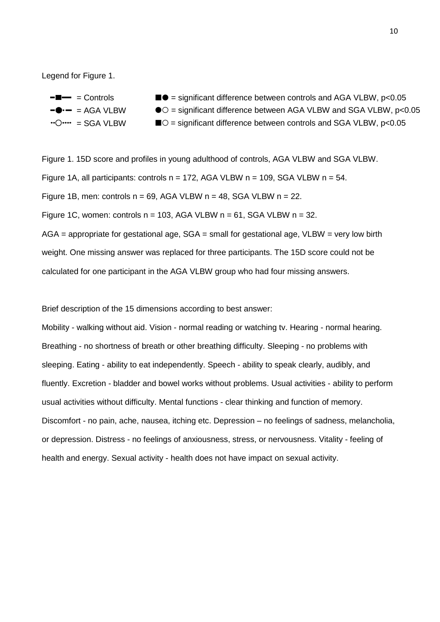Legend for Figure 1.



Figure 1. 15D score and profiles in young adulthood of controls, AGA VLBW and SGA VLBW. Figure 1A, all participants: controls  $n = 172$ , AGA VLBW  $n = 109$ , SGA VLBW  $n = 54$ . Figure 1B, men: controls  $n = 69$ , AGA VLBW  $n = 48$ , SGA VLBW  $n = 22$ . Figure 1C, women: controls  $n = 103$ , AGA VLBW  $n = 61$ , SGA VLBW  $n = 32$ . AGA = appropriate for gestational age, SGA = small for gestational age, VLBW = very low birth weight. One missing answer was replaced for three participants. The 15D score could not be calculated for one participant in the AGA VLBW group who had four missing answers.

Brief description of the 15 dimensions according to best answer:

Mobility - walking without aid. Vision - normal reading or watching tv. Hearing - normal hearing. Breathing - no shortness of breath or other breathing difficulty. Sleeping - no problems with sleeping. Eating - ability to eat independently. Speech - ability to speak clearly, audibly, and fluently. Excretion - bladder and bowel works without problems. Usual activities - ability to perform usual activities without difficulty. Mental functions - clear thinking and function of memory. Discomfort - no pain, ache, nausea, itching etc. Depression – no feelings of sadness, melancholia, or depression. Distress - no feelings of anxiousness, stress, or nervousness. Vitality - feeling of health and energy. Sexual activity - health does not have impact on sexual activity.